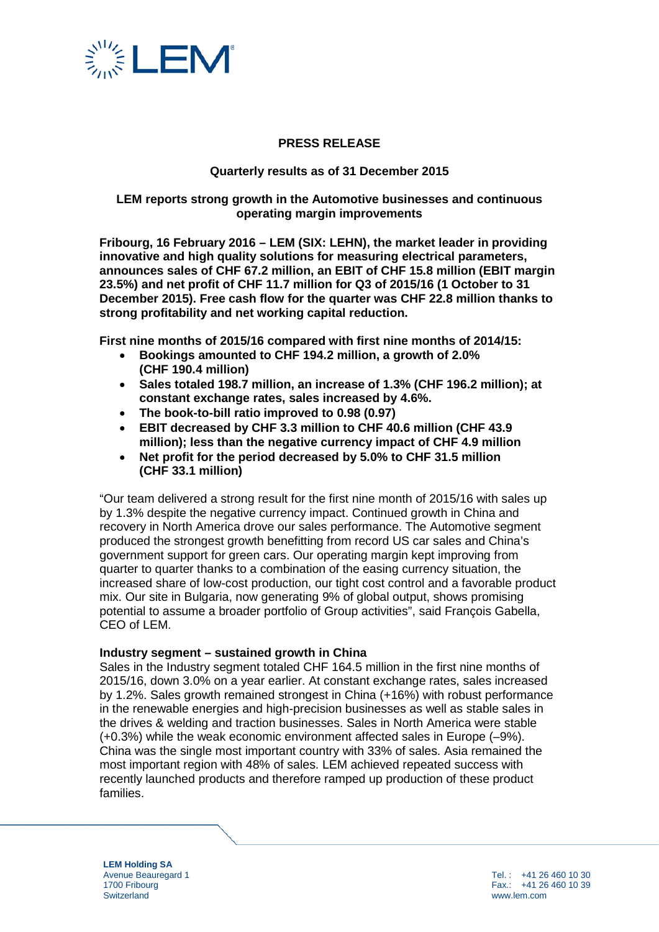

# **PRESS RELEASE**

# **Quarterly results as of 31 December 2015**

# **LEM reports strong growth in the Automotive businesses and continuous operating margin improvements**

**Fribourg, 16 February 2016 – LEM (SIX: LEHN), the market leader in providing innovative and high quality solutions for measuring electrical parameters, announces sales of CHF 67.2 million, an EBIT of CHF 15.8 million (EBIT margin 23.5%) and net profit of CHF 11.7 million for Q3 of 2015/16 (1 October to 31 December 2015). Free cash flow for the quarter was CHF 22.8 million thanks to strong profitability and net working capital reduction.** 

**First nine months of 2015/16 compared with first nine months of 2014/15:**

- **Bookings amounted to CHF 194.2 million, a growth of 2.0% (CHF 190.4 million)**
- **Sales totaled 198.7 million, an increase of 1.3% (CHF 196.2 million); at constant exchange rates, sales increased by 4.6%.**
- **The book-to-bill ratio improved to 0.98 (0.97)**
- **EBIT decreased by CHF 3.3 million to CHF 40.6 million (CHF 43.9 million); less than the negative currency impact of CHF 4.9 million**
- **Net profit for the period decreased by 5.0% to CHF 31.5 million (CHF 33.1 million)**

"Our team delivered a strong result for the first nine month of 2015/16 with sales up by 1.3% despite the negative currency impact. Continued growth in China and recovery in North America drove our sales performance. The Automotive segment produced the strongest growth benefitting from record US car sales and China's government support for green cars. Our operating margin kept improving from quarter to quarter thanks to a combination of the easing currency situation, the increased share of low-cost production, our tight cost control and a favorable product mix. Our site in Bulgaria, now generating 9% of global output, shows promising potential to assume a broader portfolio of Group activities", said François Gabella, CEO of LEM.

## **Industry segment – sustained growth in China**

Sales in the Industry segment totaled CHF 164.5 million in the first nine months of 2015/16, down 3.0% on a year earlier. At constant exchange rates, sales increased by 1.2%. Sales growth remained strongest in China (+16%) with robust performance in the renewable energies and high-precision businesses as well as stable sales in the drives & welding and traction businesses. Sales in North America were stable (+0.3%) while the weak economic environment affected sales in Europe (–9%). China was the single most important country with 33% of sales. Asia remained the most important region with 48% of sales. LEM achieved repeated success with recently launched products and therefore ramped up production of these product families.

**LEM Holding SA** Avenue Beauregard 1 1700 Fribourg **Switzerland** 

Tel. : +41 26 460 10 30 Fax.: +41 26 460 10 39 www.lem.com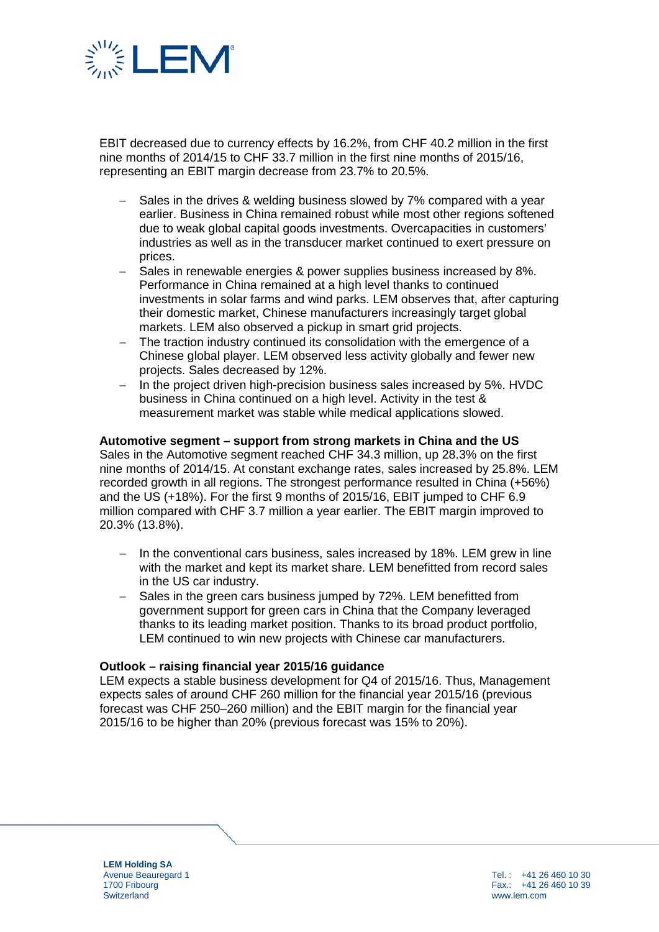

EBIT decreased due to currency effects by 16.2%, from CHF 40.2 million in the first nine months of 2014/15 to CHF 33.7 million in the first nine months of 2015/16, representing an EBIT margin decrease from 23.7% to 20.5%.

- Sales in the drives & welding business slowed by 7% compared with a year earlier. Business in China remained robust while most other regions softened due to weak global capital goods investments. Overcapacities in customers' industries as well as in the transducer market continued to exert pressure on prices.
- Sales in renewable energies & power supplies business increased by 8%. Performance in China remained at a high level thanks to continued investments in solar farms and wind parks. LEM observes that, after capturing their domestic market, Chinese manufacturers increasingly target global markets. LEM also observed a pickup in smart grid projects.
- The traction industry continued its consolidation with the emergence of a Chinese global player. LEM observed less activity globally and fewer new projects. Sales decreased by 12%.
- − In the project driven high-precision business sales increased by 5%. HVDC business in China continued on a high level. Activity in the test & measurement market was stable while medical applications slowed.

## **Automotive segment – support from strong markets in China and the US**

Sales in the Automotive segment reached CHF 34.3 million, up 28.3% on the first nine months of 2014/15. At constant exchange rates, sales increased by 25.8%. LEM recorded growth in all regions. The strongest performance resulted in China (+56%) and the US (+18%). For the first 9 months of 2015/16, EBIT jumped to CHF 6.9 million compared with CHF 3.7 million a year earlier. The EBIT margin improved to 20.3% (13.8%).

- In the conventional cars business, sales increased by 18%. LEM grew in line with the market and kept its market share. LEM benefitted from record sales in the US car industry.
- − Sales in the green cars business jumped by 72%. LEM benefitted from government support for green cars in China that the Company leveraged thanks to its leading market position. Thanks to its broad product portfolio, LEM continued to win new projects with Chinese car manufacturers.

## **Outlook – raising financial year 2015/16 guidance**

LEM expects a stable business development for Q4 of 2015/16. Thus, Management expects sales of around CHF 260 million for the financial year 2015/16 (previous forecast was CHF 250–260 million) and the EBIT margin for the financial year 2015/16 to be higher than 20% (previous forecast was 15% to 20%).

**LEM Holding SA** Avenue Beauregard 1 1700 Fribourg **Switzerland** 

Tel. : +41 26 460 10 30 Fax.: +41 26 460 10 39 www.lem.com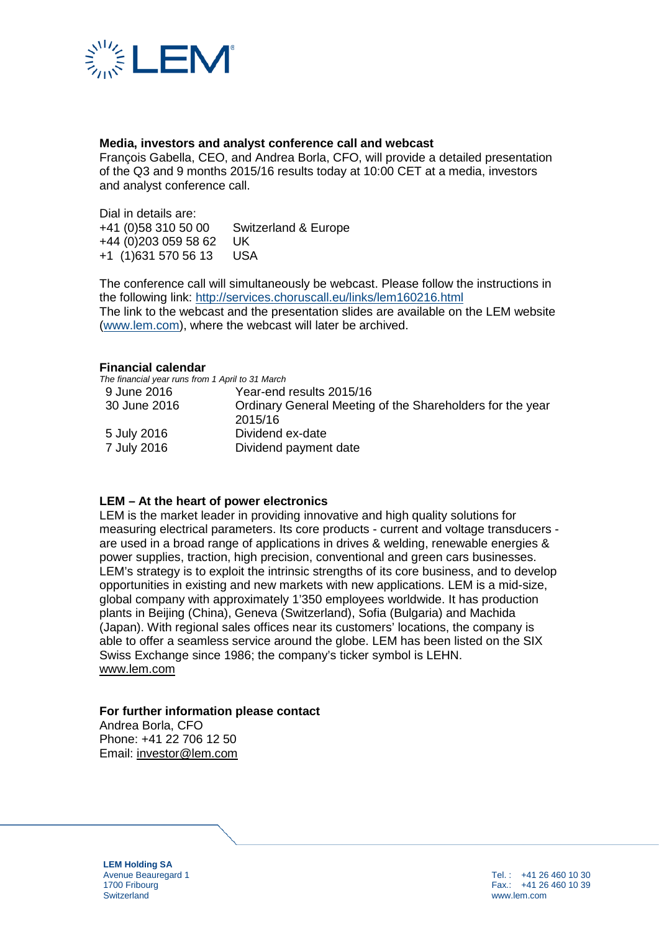

# **Media, investors and analyst conference call and webcast**

François Gabella, CEO, and Andrea Borla, CFO, will provide a detailed presentation of the Q3 and 9 months 2015/16 results today at 10:00 CET at a media, investors and analyst conference call.

Dial in details are:<br>+41 (0)58 310 50 00 Switzerland & Europe +44 (0)203 059 58 62 UK +1 (1)631 570 56 13 USA

The conference call will simultaneously be webcast. Please follow the instructions in the following link:<http://services.choruscall.eu/links/lem160216.html> The link to the webcast and the presentation slides are available on the LEM website [\(www.lem.com\)](http://www.lem.com/), where the webcast will later be archived.

#### **Financial calendar**

*The financial year runs from 1 April to 31 March*

| 9 June 2016  | Year-end results 2015/16                                  |
|--------------|-----------------------------------------------------------|
| 30 June 2016 | Ordinary General Meeting of the Shareholders for the year |
|              | 2015/16                                                   |
| 5 July 2016  | Dividend ex-date                                          |
| 7 July 2016  | Dividend payment date                                     |
|              |                                                           |

## **LEM – At the heart of power electronics**

LEM is the market leader in providing innovative and high quality solutions for measuring electrical parameters. Its core products - current and voltage transducers are used in a broad range of applications in drives & welding, renewable energies & power supplies, traction, high precision, conventional and green cars businesses. LEM's strategy is to exploit the intrinsic strengths of its core business, and to develop opportunities in existing and new markets with new applications. LEM is a mid-size, global company with approximately 1'350 employees worldwide. It has production plants in Beijing (China), Geneva (Switzerland), Sofia (Bulgaria) and Machida (Japan). With regional sales offices near its customers' locations, the company is able to offer a seamless service around the globe. LEM has been listed on the SIX Swiss Exchange since 1986; the company's ticker symbol is LEHN. [www.lem.com](http://www.lem.com/)

## **For further information please contact**

Andrea Borla, CFO Phone: +41 22 706 12 50 Email: [investor@lem.com](mailto:investor@lem.com)

**LEM Holding SA** Avenue Beauregard 1 1700 Fribourg **Switzerland** 

Tel. : +41 26 460 10 30 Fax.: +41 26 460 10 39 www.lem.com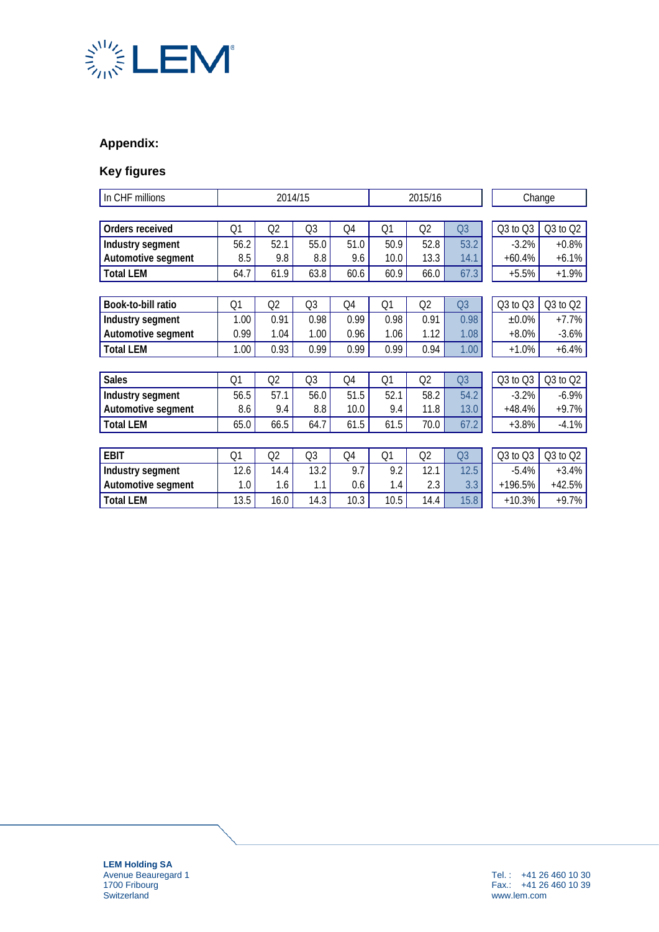

# **Appendix:**

# **Key figures**

| In CHF millions    | 2014/15        |                |                | 2015/16 |                |                | Change         |              |              |
|--------------------|----------------|----------------|----------------|---------|----------------|----------------|----------------|--------------|--------------|
|                    |                |                |                |         |                |                |                |              |              |
| Orders received    | Q1             | Q2             | Q <sub>3</sub> | Q4      | Q1             | Q2             | Q <sub>3</sub> | $Q3$ to $Q3$ | $Q3$ to $Q2$ |
| Industry segment   | 56.2           | 52.1           | 55.0           | 51.0    | 50.9           | 52.8           | 53.2           | $-3.2%$      | $+0.8%$      |
| Automotive segment | 8.5            | 9.8            | 8.8            | 9.6     | 10.0           | 13.3           | 14.1           | $+60.4%$     | $+6.1%$      |
| <b>Total LEM</b>   | 64.7           | 61.9           | 63.8           | 60.6    | 60.9           | 66.0           | 67.3           | $+5.5%$      | $+1.9%$      |
|                    |                |                |                |         |                |                |                |              |              |
| Book-to-bill ratio | Q <sub>1</sub> | Q <sub>2</sub> | Q <sub>3</sub> | Q4      | Q <sub>1</sub> | Q <sub>2</sub> | Q <sub>3</sub> | $Q3$ to $Q3$ | $Q3$ to $Q2$ |
| Industry segment   | 1.00           | 0.91           | 0.98           | 0.99    | 0.98           | 0.91           | 0.98           | $±0.0\%$     | $+7.7%$      |
| Automotive segment | 0.99           | 1.04           | 1.00           | 0.96    | 1.06           | 1.12           | 1.08           | $+8.0%$      | $-3.6%$      |
| <b>Total LEM</b>   | 1.00           | 0.93           | 0.99           | 0.99    | 0.99           | 0.94           | 1.00           | $+1.0%$      | $+6.4%$      |
|                    |                |                |                |         |                |                |                |              |              |
| <b>Sales</b>       | Q <sub>1</sub> | Q2             | Q <sub>3</sub> | Q4      | Q <sub>1</sub> | Q <sub>2</sub> | Q <sub>3</sub> | $Q3$ to $Q3$ | Q3 to Q2     |
| Industry segment   | 56.5           | 57.1           | 56.0           | 51.5    | 52.1           | 58.2           | 54.2           | $-3.2%$      | $-6.9\%$     |
| Automotive segment | 8.6            | 9.4            | 8.8            | 10.0    | 9.4            | 11.8           | 13.0           | $+48.4%$     | $+9.7%$      |
| <b>Total LEM</b>   | 65.0           | 66.5           | 64.7           | 61.5    | 61.5           | 70.0           | 67.2           | $+3.8%$      | $-4.1%$      |
|                    |                |                |                |         |                |                |                |              |              |
| <b>EBIT</b>        | Q1             | Q2             | Q <sub>3</sub> | Q4      | Q1             | Q <sub>2</sub> | Q <sub>3</sub> | $Q3$ to $Q3$ | $Q3$ to $Q2$ |
| Industry segment   | 12.6           | 14.4           | 13.2           | 9.7     | 9.2            | 12.1           | 12.5           | $-5.4%$      | $+3.4%$      |
| Automotive segment | 1.0            | 1.6            | 1.1            | 0.6     | 1.4            | 2.3            | 3.3            | $+196.5%$    | $+42.5%$     |
| <b>Total LEM</b>   | 13.5           | 16.0           | 14.3           | 10.3    | 10.5           | 14.4           | 15.8           | $+10.3%$     | $+9.7%$      |

**LEM Holding SA** Avenue Beauregard 1 1700 Fribourg **Switzerland**